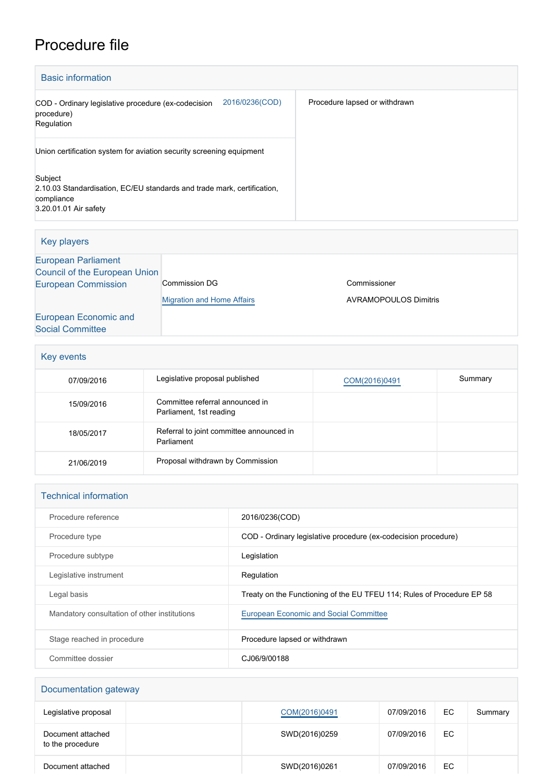## Procedure file

| <b>Basic information</b>                                                                                                  |                               |
|---------------------------------------------------------------------------------------------------------------------------|-------------------------------|
| 2016/0236(COD)<br>COD - Ordinary legislative procedure (ex-codecision<br>procedure)<br>Regulation                         | Procedure lapsed or withdrawn |
| Union certification system for aviation security screening equipment                                                      |                               |
| Subject<br>2.10.03 Standardisation, EC/EU standards and trade mark, certification,<br>compliance<br>3.20.01.01 Air safety |                               |

| Key players                   |                                   |                              |
|-------------------------------|-----------------------------------|------------------------------|
| <b>European Parliament</b>    |                                   |                              |
| Council of the European Union |                                   |                              |
| <b>European Commission</b>    | Commission DG                     | Commissioner                 |
|                               | <b>Migration and Home Affairs</b> | <b>AVRAMOPOULOS Dimitris</b> |
| European Economic and         |                                   |                              |
| <b>Social Committee</b>       |                                   |                              |

| Key events |                                                            |               |         |
|------------|------------------------------------------------------------|---------------|---------|
| 07/09/2016 | Legislative proposal published                             | COM(2016)0491 | Summary |
| 15/09/2016 | Committee referral announced in<br>Parliament, 1st reading |               |         |
| 18/05/2017 | Referral to joint committee announced in<br>Parliament     |               |         |
| 21/06/2019 | Proposal withdrawn by Commission                           |               |         |

| <b>Technical information</b>                 |                                                                        |
|----------------------------------------------|------------------------------------------------------------------------|
| Procedure reference                          | 2016/0236(COD)                                                         |
| Procedure type                               | COD - Ordinary legislative procedure (ex-codecision procedure)         |
| Procedure subtype                            | Legislation                                                            |
| Legislative instrument                       | Regulation                                                             |
| Legal basis                                  | Treaty on the Functioning of the EU TFEU 114; Rules of Procedure EP 58 |
| Mandatory consultation of other institutions | <b>European Economic and Social Committee</b>                          |
| Stage reached in procedure                   | Procedure lapsed or withdrawn                                          |
| Committee dossier                            | CJ06/9/00188                                                           |

| Documentation gateway                 |               |            |     |         |
|---------------------------------------|---------------|------------|-----|---------|
| Legislative proposal                  | COM(2016)0491 | 07/09/2016 | EC  | Summary |
| Document attached<br>to the procedure | SWD(2016)0259 | 07/09/2016 | EC. |         |
| Document attached                     | SWD(2016)0261 | 07/09/2016 | EC. |         |